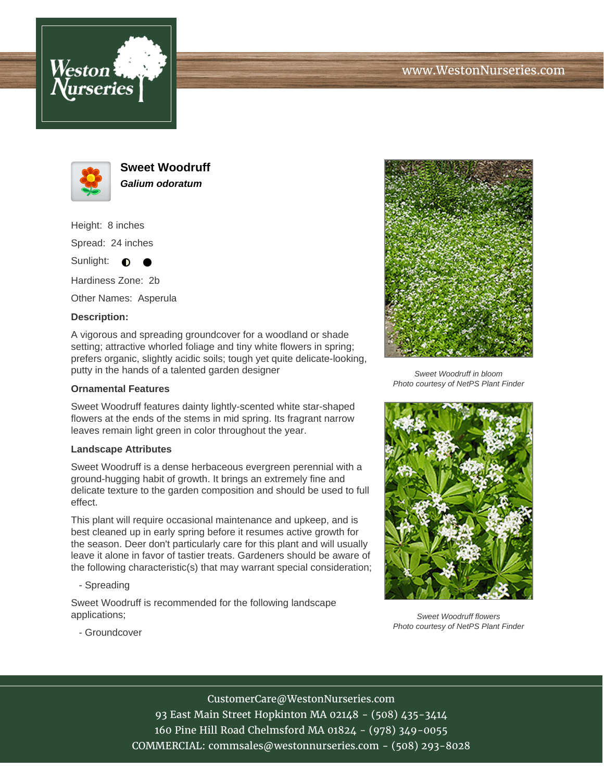





**Sweet Woodruff Galium odoratum**

Height: 8 inches Spread: 24 inches

Sunlight:  $\bullet$ ╺

Hardiness Zone: 2b

Other Names: Asperula

## **Description:**

A vigorous and spreading groundcover for a woodland or shade setting; attractive whorled foliage and tiny white flowers in spring; prefers organic, slightly acidic soils; tough yet quite delicate-looking, putty in the hands of a talented garden designer

## **Ornamental Features**

Sweet Woodruff features dainty lightly-scented white star-shaped flowers at the ends of the stems in mid spring. Its fragrant narrow leaves remain light green in color throughout the year.

## **Landscape Attributes**

Sweet Woodruff is a dense herbaceous evergreen perennial with a ground-hugging habit of growth. It brings an extremely fine and delicate texture to the garden composition and should be used to full effect.

This plant will require occasional maintenance and upkeep, and is best cleaned up in early spring before it resumes active growth for the season. Deer don't particularly care for this plant and will usually leave it alone in favor of tastier treats. Gardeners should be aware of the following characteristic(s) that may warrant special consideration;

- Spreading

Sweet Woodruff is recommended for the following landscape applications;



Sweet Woodruff in bloom Photo courtesy of NetPS Plant Finder



Sweet Woodruff flowers Photo courtesy of NetPS Plant Finder

- Groundcover

CustomerCare@WestonNurseries.com 93 East Main Street Hopkinton MA 02148 - (508) 435-3414 160 Pine Hill Road Chelmsford MA 01824 - (978) 349-0055 COMMERCIAL: commsales@westonnurseries.com - (508) 293-8028